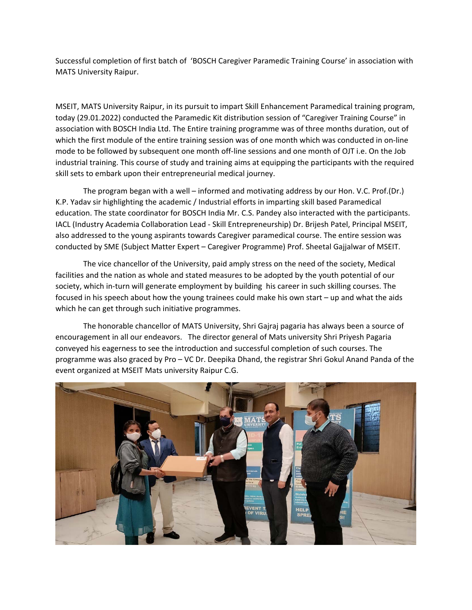Successful completion of first batch of 'BOSCH Caregiver Paramedic Training Course' in association with MATS University Raipur.

MSEIT, MATS University Raipur, in its pursuit to impart Skill Enhancement Paramedical training program, today (29.01.2022) conducted the Paramedic Kit distribution session of "Caregiver Training Course" in association with BOSCH India Ltd. The Entire training programme was of three months duration, out of which the first module of the entire training session was of one month which was conducted in on-line mode to be followed by subsequent one month off-line sessions and one month of OJT i.e. On the Job industrial training. This course of study and training aims at equipping the participants with the required skill sets to embark upon their entrepreneurial medical journey.

 The program began with a well – informed and motivating address by our Hon. V.C. Prof.(Dr.) K.P. Yadav sir highlighting the academic / Industrial efforts in imparting skill based Paramedical education. The state coordinator for BOSCH India Mr. C.S. Pandey also interacted with the participants. IACL (Industry Academia Collaboration Lead - Skill Entrepreneurship) Dr. Brijesh Patel, Principal MSEIT, also addressed to the young aspirants towards Caregiver paramedical course. The entire session was conducted by SME (Subject Matter Expert – Caregiver Programme) Prof. Sheetal Gajjalwar of MSEIT.

 The vice chancellor of the University, paid amply stress on the need of the society, Medical facilities and the nation as whole and stated measures to be adopted by the youth potential of our society, which in-turn will generate employment by building his career in such skilling courses. The focused in his speech about how the young trainees could make his own start – up and what the aids which he can get through such initiative programmes.

 The honorable chancellor of MATS University, Shri Gajraj pagaria has always been a source of encouragement in all our endeavors. The director general of Mats university Shri Priyesh Pagaria conveyed his eagerness to see the introduction and successful completion of such courses. The programme was also graced by Pro – VC Dr. Deepika Dhand, the registrar Shri Gokul Anand Panda of the event organized at MSEIT Mats university Raipur C.G.